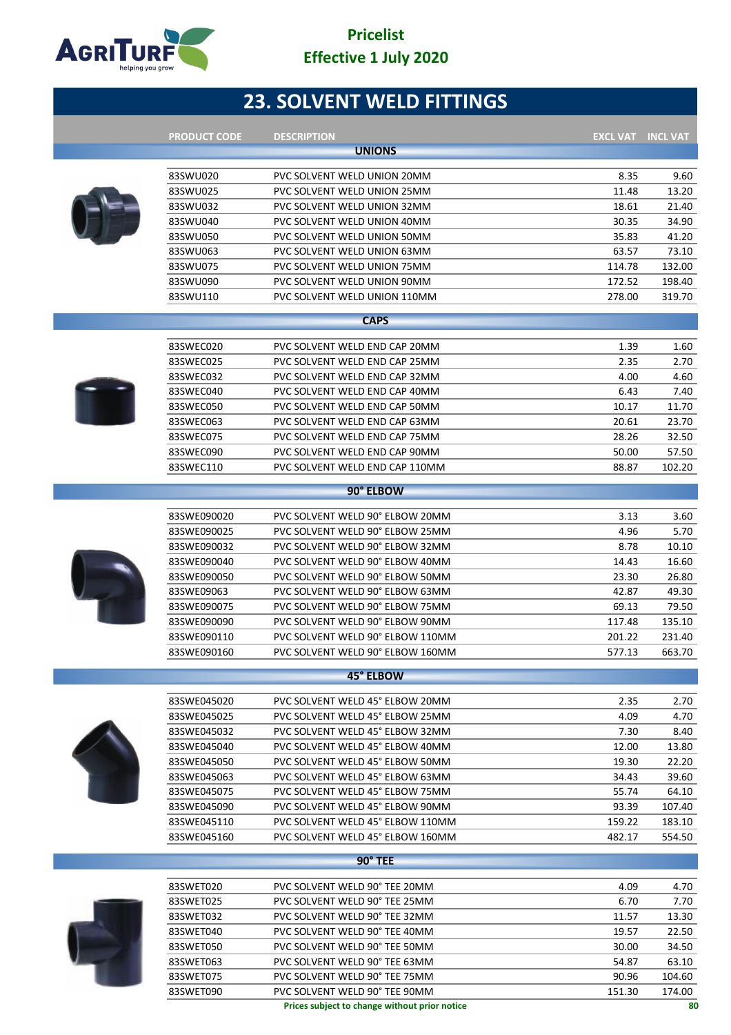

# **23. SOLVENT WELD FITTINGS**

| <b>PRODUCT CODE</b> | <b>DESCRIPTION</b>               | <b>EXCL VAT INCL VAT</b> |        |
|---------------------|----------------------------------|--------------------------|--------|
|                     | <b>UNIONS</b>                    |                          |        |
|                     |                                  |                          |        |
| 83SWU020            | PVC SOLVENT WELD UNION 20MM      | 8.35                     | 9.60   |
| 83SWU025            | PVC SOLVENT WELD UNION 25MM      | 11.48                    | 13.20  |
| 83SWU032            | PVC SOLVENT WELD UNION 32MM      | 18.61                    | 21.40  |
| 83SWU040            | PVC SOLVENT WELD UNION 40MM      | 30.35                    | 34.90  |
| 83SWU050            | PVC SOLVENT WELD UNION 50MM      | 35.83                    | 41.20  |
| 83SWU063            | PVC SOLVENT WELD UNION 63MM      | 63.57                    | 73.10  |
| 83SWU075            | PVC SOLVENT WELD UNION 75MM      | 114.78                   | 132.00 |
| 83SWU090            | PVC SOLVENT WELD UNION 90MM      | 172.52                   | 198.40 |
| 83SWU110            | PVC SOLVENT WELD UNION 110MM     | 278.00                   | 319.70 |
|                     | <b>CAPS</b>                      |                          |        |
|                     |                                  |                          |        |
| 83SWEC020           | PVC SOLVENT WELD END CAP 20MM    | 1.39                     | 1.60   |
| 83SWEC025           | PVC SOLVENT WELD END CAP 25MM    | 2.35                     | 2.70   |
| 83SWEC032           | PVC SOLVENT WELD END CAP 32MM    | 4.00                     | 4.60   |
| 83SWEC040           | PVC SOLVENT WELD END CAP 40MM    | 6.43                     | 7.40   |
| 83SWEC050           | PVC SOLVENT WELD END CAP 50MM    | 10.17                    | 11.70  |
| 83SWEC063           | PVC SOLVENT WELD END CAP 63MM    | 20.61                    | 23.70  |
| 83SWEC075           | PVC SOLVENT WELD END CAP 75MM    | 28.26                    | 32.50  |
| 83SWEC090           | PVC SOLVENT WELD END CAP 90MM    | 50.00                    | 57.50  |
| 83SWEC110           | PVC SOLVENT WELD END CAP 110MM   | 88.87                    | 102.20 |
|                     | 90° ELBOW                        |                          |        |
| 83SWE090020         | PVC SOLVENT WELD 90° ELBOW 20MM  | 3.13                     | 3.60   |
| 83SWE090025         | PVC SOLVENT WELD 90° ELBOW 25MM  | 4.96                     | 5.70   |
| 83SWE090032         | PVC SOLVENT WELD 90° ELBOW 32MM  | 8.78                     | 10.10  |
| 83SWE090040         | PVC SOLVENT WELD 90° ELBOW 40MM  | 14.43                    | 16.60  |
| 83SWE090050         | PVC SOLVENT WELD 90° ELBOW 50MM  | 23.30                    | 26.80  |
| 83SWE09063          | PVC SOLVENT WELD 90° ELBOW 63MM  | 42.87                    | 49.30  |
| 83SWE090075         | PVC SOLVENT WELD 90° ELBOW 75MM  | 69.13                    | 79.50  |
| 83SWE090090         | PVC SOLVENT WELD 90° ELBOW 90MM  | 117.48                   | 135.10 |
| 83SWE090110         | PVC SOLVENT WELD 90° ELBOW 110MM | 201.22                   | 231.40 |
| 83SWE090160         | PVC SOLVENT WELD 90° ELBOW 160MM | 577.13                   | 663.70 |
|                     | <b>45° ELBOW</b>                 |                          |        |
|                     |                                  |                          |        |
| 83SWE045020         | PVC SOLVENT WELD 45° ELBOW 20MM  | 2.35                     | 2.70   |
| 83SWE045025         | PVC SOLVENT WELD 45° ELBOW 25MM  | 4.09                     | 4.70   |
| 83SWE045032         | PVC SOLVENT WELD 45° ELBOW 32MM  | 7.30                     | 8.40   |
| 83SWE045040         | PVC SOLVENT WELD 45° ELBOW 40MM  | 12.00                    | 13.80  |
| 83SWE045050         | PVC SOLVENT WELD 45° ELBOW 50MM  | 19.30                    | 22.20  |
| 83SWE045063         | PVC SOLVENT WELD 45° ELBOW 63MM  | 34.43                    | 39.60  |
| 83SWE045075         | PVC SOLVENT WELD 45° ELBOW 75MM  | 55.74                    | 64.10  |
| 83SWE045090         | PVC SOLVENT WELD 45° ELBOW 90MM  | 93.39                    | 107.40 |
| 83SWE045110         | PVC SOLVENT WELD 45° ELBOW 110MM | 159.22                   | 183.10 |
| 83SWE045160         | PVC SOLVENT WELD 45° ELBOW 160MM | 482.17                   | 554.50 |
|                     | 90° TEE                          |                          |        |
| 83SWET020           | PVC SOLVENT WELD 90° TEE 20MM    | 4.09                     | 4.70   |
| 83SWET025           | PVC SOLVENT WELD 90° TEE 25MM    | 6.70                     | 7.70   |
| 83SWET032           | PVC SOLVENT WELD 90° TEE 32MM    | 11.57                    | 13.30  |
| 83SWET040           | PVC SOLVENT WELD 90° TEE 40MM    | 19.57                    | 22.50  |
| 83SWET050           | PVC SOLVENT WELD 90° TEE 50MM    | 30.00                    | 34.50  |
| 83SWET063           | PVC SOLVENT WELD 90° TEE 63MM    | 54.87                    | 63.10  |
| 83SWET075           | PVC SOLVENT WELD 90° TEE 75MM    | 90.96                    | 104.60 |
| 83SWET090           | PVC SOLVENT WELD 90° TEE 90MM    | 151.30                   | 174.00 |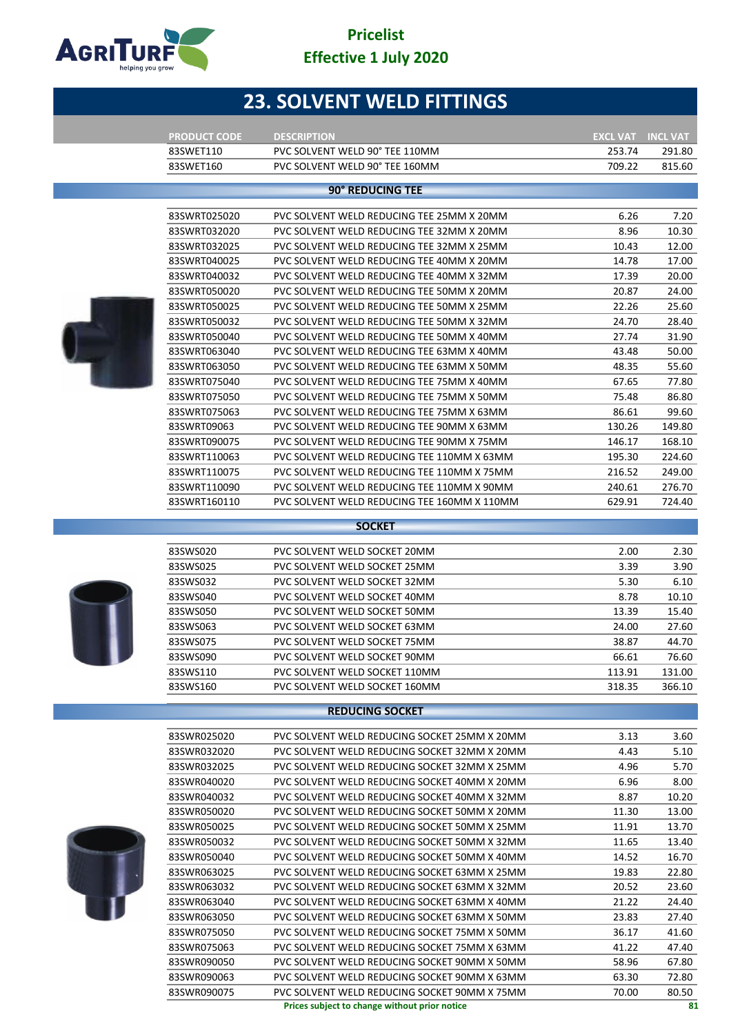

# **23. SOLVENT WELD FITTINGS**

| <b>PRODUCT CODE</b> | <b>DESCRIPTION</b>                          | <b>EXCL VAT</b> | <b>INCL VAT</b> |
|---------------------|---------------------------------------------|-----------------|-----------------|
| 83SWET110           | PVC SOLVENT WELD 90° TEE 110MM              | 253.74          | 291.80          |
| 83SWET160           | PVC SOLVENT WELD 90° TEE 160MM              | 709.22          | 815.60          |
|                     |                                             |                 |                 |
|                     | 90° REDUCING TEE                            |                 |                 |
| 83SWRT025020        | PVC SOLVENT WELD REDUCING TEE 25MM X 20MM   | 6.26            | 7.20            |
| 83SWRT032020        | PVC SOLVENT WELD REDUCING TEE 32MM X 20MM   | 8.96            | 10.30           |
| 83SWRT032025        | PVC SOLVENT WELD REDUCING TEE 32MM X 25MM   | 10.43           | 12.00           |
| 83SWRT040025        | PVC SOLVENT WELD REDUCING TEE 40MM X 20MM   | 14.78           | 17.00           |
| 83SWRT040032        | PVC SOLVENT WELD REDUCING TEE 40MM X 32MM   | 17.39           | 20.00           |
| 83SWRT050020        | PVC SOLVENT WELD REDUCING TEE 50MM X 20MM   | 20.87           | 24.00           |
| 83SWRT050025        | PVC SOLVENT WELD REDUCING TEE 50MM X 25MM   | 22.26           | 25.60           |
| 83SWRT050032        | PVC SOLVENT WELD REDUCING TEE 50MM X 32MM   | 24.70           | 28.40           |
| 83SWRT050040        | PVC SOLVENT WELD REDUCING TEE 50MM X 40MM   | 27.74           | 31.90           |
| 83SWRT063040        | PVC SOLVENT WELD REDUCING TEE 63MM X 40MM   | 43.48           | 50.00           |
| 83SWRT063050        | PVC SOLVENT WELD REDUCING TEE 63MM X 50MM   | 48.35           | 55.60           |
| 83SWRT075040        | PVC SOLVENT WELD REDUCING TEE 75MM X 40MM   | 67.65           | 77.80           |
| 83SWRT075050        | PVC SOLVENT WELD REDUCING TEE 75MM X 50MM   | 75.48           | 86.80           |
| 83SWRT075063        | PVC SOLVENT WELD REDUCING TEE 75MM X 63MM   | 86.61           | 99.60           |
| 83SWRT09063         | PVC SOLVENT WELD REDUCING TEE 90MM X 63MM   | 130.26          | 149.80          |
| 83SWRT090075        | PVC SOLVENT WELD REDUCING TEE 90MM X 75MM   | 146.17          | 168.10          |
| 83SWRT110063        | PVC SOLVENT WELD REDUCING TEE 110MM X 63MM  | 195.30          | 224.60          |
| 83SWRT110075        | PVC SOLVENT WELD REDUCING TEE 110MM X 75MM  | 216.52          | 249.00          |
| 83SWRT110090        | PVC SOLVENT WELD REDUCING TEE 110MM X 90MM  | 240.61          | 276.70          |
| 83SWRT160110        | PVC SOLVENT WELD REDUCING TEE 160MM X 110MM | 629.91          | 724.40          |
|                     |                                             |                 |                 |
|                     | <b>SOCKET</b>                               |                 |                 |



| 83SWS020 | PVC SOLVENT WELD SOCKET 20MM  | 2.00   | 2.30   |
|----------|-------------------------------|--------|--------|
| 83SWS025 | PVC SOLVENT WELD SOCKET 25MM  | 3.39   | 3.90   |
| 83SWS032 | PVC SOLVENT WELD SOCKET 32MM  | 5.30   | 6.10   |
| 83SWS040 | PVC SOLVENT WELD SOCKET 40MM  | 8.78   | 10.10  |
| 83SWS050 | PVC SOLVENT WELD SOCKET 50MM  | 13.39  | 15.40  |
| 83SWS063 | PVC SOLVENT WELD SOCKET 63MM  | 24.00  | 27.60  |
| 83SWS075 | PVC SOLVENT WELD SOCKET 75MM  | 38.87  | 44.70  |
| 83SWS090 | PVC SOLVENT WELD SOCKET 90MM  | 66.61  | 76.60  |
| 83SWS110 | PVC SOLVENT WELD SOCKET 110MM | 113.91 | 131.00 |
| 83SWS160 | PVC SOLVENT WELD SOCKET 160MM | 318.35 | 366.10 |

### **REDUCING SOCKET**



| 83SWR025020 | PVC SOLVENT WELD REDUCING SOCKET 25MM X 20MM  | 3.13  | 3.60  |
|-------------|-----------------------------------------------|-------|-------|
| 83SWR032020 | PVC SOLVENT WELD REDUCING SOCKET 32MM X 20MM  | 4.43  | 5.10  |
| 83SWR032025 | PVC SOLVENT WELD REDUCING SOCKET 32MM X 25MM  | 4.96  | 5.70  |
| 83SWR040020 | PVC SOLVENT WELD REDUCING SOCKET 40MM X 20MM  | 6.96  | 8.00  |
| 83SWR040032 | PVC SOLVENT WELD REDUCING SOCKET 40MM X 32MM  | 8.87  | 10.20 |
| 83SWR050020 | PVC SOLVENT WELD REDUCING SOCKET 50MM X 20MM  | 11.30 | 13.00 |
| 83SWR050025 | PVC SOLVENT WELD REDUCING SOCKET 50MM X 25MM  | 11.91 | 13.70 |
| 83SWR050032 | PVC SOLVENT WELD REDUCING SOCKET 50MM X 32MM  | 11.65 | 13.40 |
| 83SWR050040 | PVC SOLVENT WELD REDUCING SOCKET 50MM X 40MM  | 14.52 | 16.70 |
| 83SWR063025 | PVC SOLVENT WELD REDUCING SOCKET 63MM X 25MM  | 19.83 | 22.80 |
| 83SWR063032 | PVC SOLVENT WELD REDUCING SOCKET 63MM X 32MM  | 20.52 | 23.60 |
| 83SWR063040 | PVC SOLVENT WELD REDUCING SOCKET 63MM X 40MM  | 21.22 | 24.40 |
| 83SWR063050 | PVC SOLVENT WELD REDUCING SOCKET 63MM X 50MM  | 23.83 | 27.40 |
| 83SWR075050 | PVC SOLVENT WELD REDUCING SOCKET 75MM X 50MM  | 36.17 | 41.60 |
| 83SWR075063 | PVC SOLVENT WELD REDUCING SOCKET 75MM X 63MM  | 41.22 | 47.40 |
| 83SWR090050 | PVC SOLVENT WELD REDUCING SOCKET 90MM X 50MM  | 58.96 | 67.80 |
| 83SWR090063 | PVC SOLVENT WELD REDUCING SOCKET 90MM X 63MM  | 63.30 | 72.80 |
| 83SWR090075 | PVC SOLVENT WELD REDUCING SOCKET 90MM X 75MM  | 70.00 | 80.50 |
|             | Prices subject to change without prior notice |       | 81    |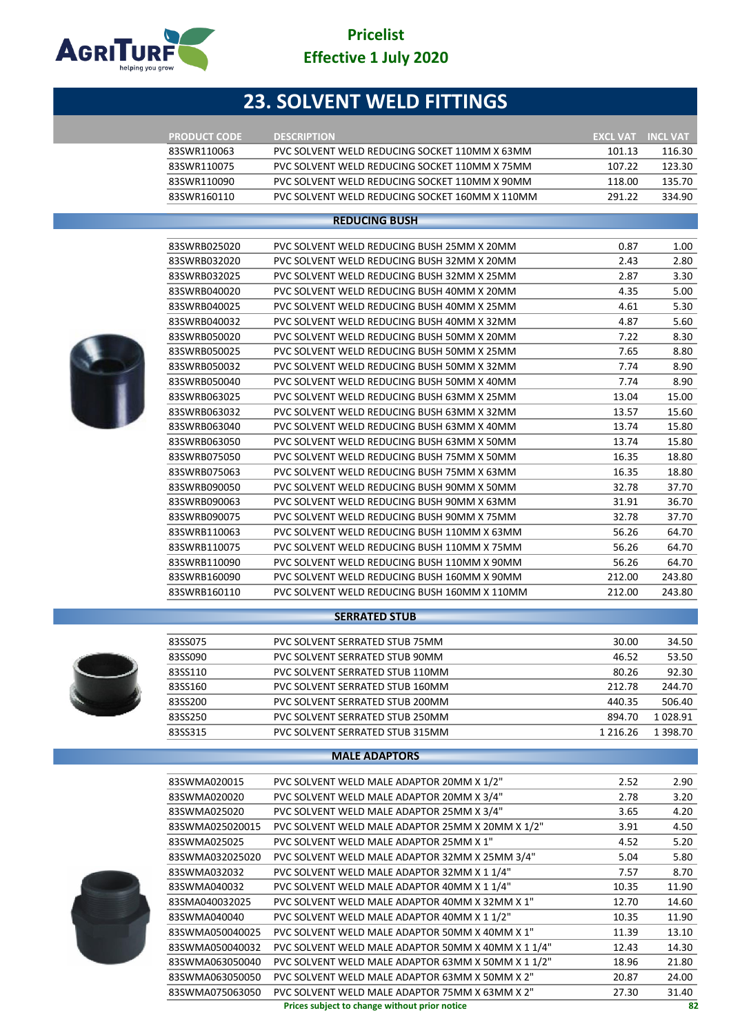

# **23. SOLVENT WELD FITTINGS**

| <b>PRODUCT CODE</b> | <b>DESCRIPTION</b>                             | <b>EXCL VAT</b> | <b>INCL VAT</b> |
|---------------------|------------------------------------------------|-----------------|-----------------|
| 83SWR110063         | PVC SOLVENT WELD REDUCING SOCKET 110MM X 63MM  | 101.13          | 116.30          |
| 83SWR110075         | PVC SOLVENT WELD REDUCING SOCKET 110MM X 75MM  | 107.22          | 123.30          |
| 83SWR110090         | PVC SOLVENT WELD REDUCING SOCKET 110MM X 90MM  | 118.00          | 135.70          |
| 83SWR160110         | PVC SOLVENT WELD REDUCING SOCKET 160MM X 110MM | 291 22          | 334.90          |

#### **REDUCING BUSH**



| 83SWRB025020 | PVC SOLVENT WELD REDUCING BUSH 25MM X 20MM   | 0.87   | 1.00   |
|--------------|----------------------------------------------|--------|--------|
| 83SWRB032020 | PVC SOLVENT WELD REDUCING BUSH 32MM X 20MM   | 2.43   | 2.80   |
| 83SWRB032025 | PVC SOLVENT WELD REDUCING BUSH 32MM X 25MM   | 2.87   | 3.30   |
| 83SWRB040020 | PVC SOLVENT WELD REDUCING BUSH 40MM X 20MM   | 4.35   | 5.00   |
| 83SWRB040025 | PVC SOLVENT WELD REDUCING BUSH 40MM X 25MM   | 4.61   | 5.30   |
| 83SWRB040032 | PVC SOLVENT WELD REDUCING BUSH 40MM X 32MM   | 4.87   | 5.60   |
| 83SWRB050020 | PVC SOLVENT WELD REDUCING BUSH 50MM X 20MM   | 7.22   | 8.30   |
| 83SWRB050025 | PVC SOLVENT WELD REDUCING BUSH 50MM X 25MM   | 7.65   | 8.80   |
| 83SWRB050032 | PVC SOLVENT WELD REDUCING BUSH 50MM X 32MM   | 7.74   | 8.90   |
| 83SWRB050040 | PVC SOLVENT WELD REDUCING BUSH 50MM X 40MM   | 7.74   | 8.90   |
| 83SWRB063025 | PVC SOLVENT WELD REDUCING BUSH 63MM X 25MM   | 13.04  | 15.00  |
| 83SWRB063032 | PVC SOLVENT WELD REDUCING BUSH 63MM X 32MM   | 13.57  | 15.60  |
| 83SWRB063040 | PVC SOLVENT WELD REDUCING BUSH 63MM X 40MM   | 13.74  | 15.80  |
| 83SWRB063050 | PVC SOLVENT WELD REDUCING BUSH 63MM X 50MM   | 13.74  | 15.80  |
| 83SWRB075050 | PVC SOLVENT WELD REDUCING BUSH 75MM X 50MM   | 16.35  | 18.80  |
| 83SWRB075063 | PVC SOLVENT WELD REDUCING BUSH 75MM X 63MM   | 16.35  | 18.80  |
| 83SWRB090050 | PVC SOLVENT WELD REDUCING BUSH 90MM X 50MM   | 32.78  | 37.70  |
| 83SWRB090063 | PVC SOLVENT WELD REDUCING BUSH 90MM X 63MM   | 31.91  | 36.70  |
| 83SWRB090075 | PVC SOLVENT WELD REDUCING BUSH 90MM X 75MM   | 32.78  | 37.70  |
| 83SWRB110063 | PVC SOLVENT WELD REDUCING BUSH 110MM X 63MM  | 56.26  | 64.70  |
| 83SWRB110075 | PVC SOLVENT WELD REDUCING BUSH 110MM X 75MM  | 56.26  | 64.70  |
| 83SWRB110090 | PVC SOLVENT WELD REDUCING BUSH 110MM X 90MM  | 56.26  | 64.70  |
| 83SWRB160090 | PVC SOLVENT WELD REDUCING BUSH 160MM X 90MM  | 212.00 | 243.80 |
| 83SWRB160110 | PVC SOLVENT WELD REDUCING BUSH 160MM X 110MM | 212.00 | 243.80 |
|              |                                              |        |        |



#### **SERRATED STUB**

| 83SS075 | PVC SOLVENT SERRATED STUB 75MM  | 30.00         | 34.50         |
|---------|---------------------------------|---------------|---------------|
| 83SS090 | PVC SOLVENT SERRATED STUB 90MM  | 46.52         | 53.50         |
| 83SS110 | PVC SOLVENT SERRATED STUB 110MM | 80.26         | 92.30         |
| 83SS160 | PVC SOLVENT SERRATED STUB 160MM | 212.78        | 244.70        |
| 83SS200 | PVC SOLVENT SERRATED STUB 200MM | 440.35        | 506.40        |
| 83SS250 | PVC SOLVENT SERRATED STUB 250MM | 894.70        | 1028.91       |
| 83SS315 | PVC SOLVENT SERRATED STUB 315MM | 1 2 1 6 . 2 6 | 1 3 9 8 . 7 0 |
|         |                                 |               |               |

#### **MALE ADAPTORS**